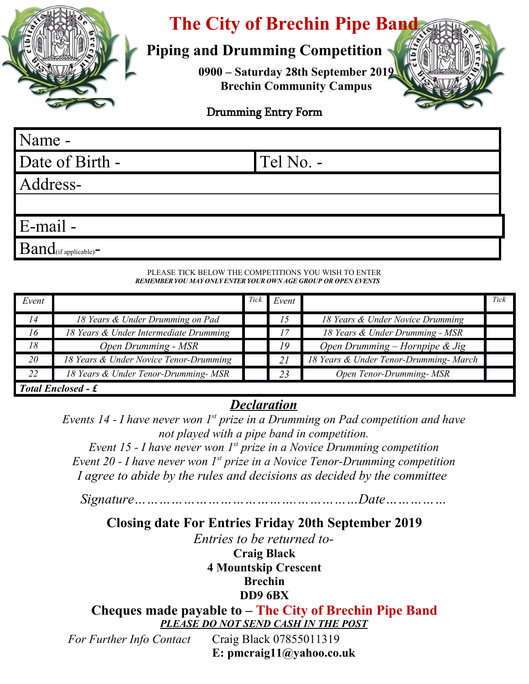

# **The City of Brechin Pipe Band**

# **Piping and Drumming Competition**

**0900 – Saturday 28th September 2019 Brechin Community Campus**



#### Drumming Entry Form

Date of Birth - Tel No. -

Address-

Name -

E-mail -

 $Band$ (if applicable) $-$ 

#### PLEASE TICK BELOW THE COMPETITIONS YOU WISH TO ENTER *REMEMBER YOU MAY ONLY ENTER YOUR OWN AGE GROUP OR OPEN EVENTS*

| Event                     |                                        | Tick | Event |                                        | Tick |
|---------------------------|----------------------------------------|------|-------|----------------------------------------|------|
| 14                        | 18 Years & Under Drumming on Pad       |      | 15    | 18 Years & Under Novice Drumming       |      |
| 16                        | 18 Years & Under Intermediate Drumming |      | 17    | 18 Years & Under Drumming - MSR        |      |
| 18                        | Open Drumming - MSR                    |      | 19    | Open Drumming – Hornpipe & Jig         |      |
| 20                        | 18 Years & Under Novice Tenor-Drumming |      | 21    | 18 Years & Under Tenor-Drumming- March |      |
| 22                        | 18 Years & Under Tenor-Drumming- MSR   |      | 23    | Open Tenor-Drumming- MSR               |      |
| <b>Total Enclosed - £</b> |                                        |      |       |                                        |      |

### *Declaration*

*Events 14 - I have never won 1st prize in a Drumming on Pad competition and have not played with a pipe band in competition.*

*Event 15 - I have never won 1st prize in a Novice Drumming competition Event 20 - I have never won 1st prize in a Novice Tenor-Drumming competition I agree to abide by the rules and decisions as decided by the committee* 

*Signature………………………………….……………Date……………*

## **Closing date For Entries Friday 20th September 2019**

*Entries to be returned to-***Craig Black 4 Mountskip Crescent Brechin DD9 6BX**

**Cheques made payable to – The City of Brechin Pipe Band** *PLEASE DO NOT SEND CASH IN THE POST*

*For Further Info Contact* Craig Black 07855011319 **E: pmcraig11@yahoo.co.uk**